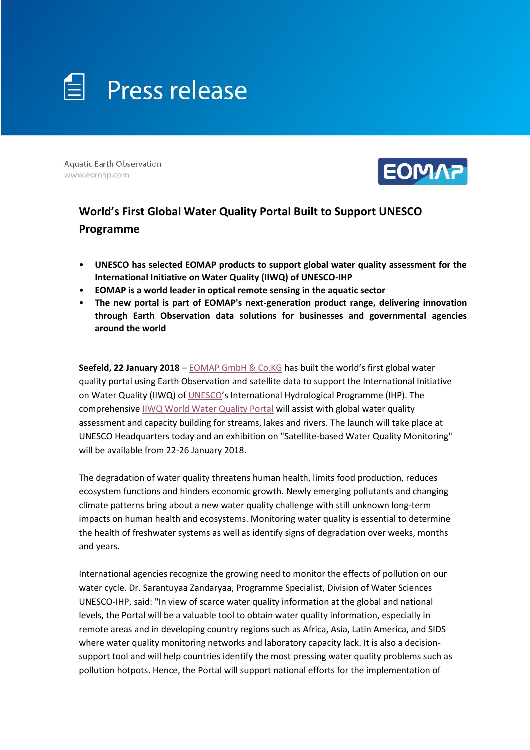

**Aquatic Earth Observation** www.eomap.com



# **World's First Global Water Quality Portal Built to Support UNESCO Programme**

- **UNESCO has selected EOMAP products to support global water quality assessment for the International Initiative on Water Quality (IIWQ) of UNESCO-IHP**
- **EOMAP is a world leader in optical remote sensing in the aquatic sector**
- **The new portal is part of EOMAP's next-generation product range, delivering innovation through Earth Observation data solutions for businesses and governmental agencies around the world**

**Seefeld, 22 January 2018** – [EOMAP GmbH & Co.KG](http://www.eomap.com/) has built the world's first global water quality portal using Earth Observation and satellite data to support the International Initiative on Water Quality (IIWQ) o[f UNESCO](https://en.unesco.org/)'s International Hydrological Programme (IHP). The comprehensive [IIWQ World Water Quality Portal](http://worldwaterquality.org/) will assist with global water quality assessment and capacity building for streams, lakes and rivers. The launch will take place at UNESCO Headquarters today and an exhibition on "Satellite-based Water Quality Monitoring" will be available from 22-26 January 2018.

The degradation of water quality threatens human health, limits food production, reduces ecosystem functions and hinders economic growth. Newly emerging pollutants and changing climate patterns bring about a new water quality challenge with still unknown long-term impacts on human health and ecosystems. Monitoring water quality is essential to determine the health of freshwater systems as well as identify signs of degradation over weeks, months and years.

International agencies recognize the growing need to monitor the effects of pollution on our water cycle. Dr. Sarantuyaa Zandaryaa, Programme Specialist, Division of Water Sciences UNESCO-IHP, said: "In view of scarce water quality information at the global and national levels, the Portal will be a valuable tool to obtain water quality information, especially in remote areas and in developing country regions such as Africa, Asia, Latin America, and SIDS where water quality monitoring networks and laboratory capacity lack. It is also a decisionsupport tool and will help countries identify the most pressing water quality problems such as pollution hotpots. Hence, the Portal will support national efforts for the implementation of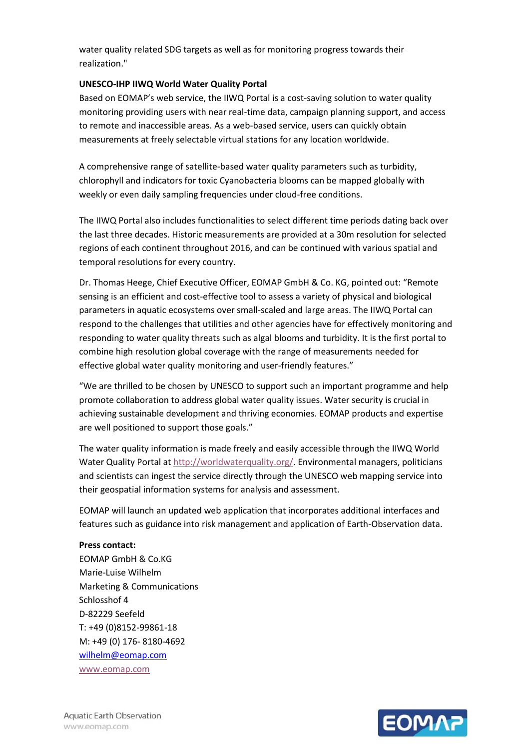water quality related SDG targets as well as for monitoring progress towards their realization."

### **UNESCO-IHP IIWQ World Water Quality Portal**

Based on EOMAP's web service, the IIWQ Portal is a cost-saving solution to water quality monitoring providing users with near real-time data, campaign planning support, and access to remote and inaccessible areas. As a web-based service, users can quickly obtain measurements at freely selectable virtual stations for any location worldwide.

A comprehensive range of satellite-based water quality parameters such as turbidity, chlorophyll and indicators for toxic Cyanobacteria blooms can be mapped globally with weekly or even daily sampling frequencies under cloud-free conditions.

The IIWQ Portal also includes functionalities to select different time periods dating back over the last three decades. Historic measurements are provided at a 30m resolution for selected regions of each continent throughout 2016, and can be continued with various spatial and temporal resolutions for every country.

Dr. Thomas Heege, Chief Executive Officer, EOMAP GmbH & Co. KG, pointed out: "Remote sensing is an efficient and cost-effective tool to assess a variety of physical and biological parameters in aquatic ecosystems over small-scaled and large areas. The IIWQ Portal can respond to the challenges that utilities and other agencies have for effectively monitoring and responding to water quality threats such as algal blooms and turbidity. It is the first portal to combine high resolution global coverage with the range of measurements needed for effective global water quality monitoring and user-friendly features."

"We are thrilled to be chosen by UNESCO to support such an important programme and help promote collaboration to address global water quality issues. Water security is crucial in achieving sustainable development and thriving economies. EOMAP products and expertise are well positioned to support those goals."

The water quality information is made freely and easily accessible through the IIWQ World Water Quality Portal at [http://worldwaterquality.org/.](http://worldwaterquality.org/) Environmental managers, politicians and scientists can ingest the service directly through the UNESCO web mapping service into their geospatial information systems for analysis and assessment.

EOMAP will launch an updated web application that incorporates additional interfaces and features such as guidance into risk management and application of Earth-Observation data.

**Press contact:**

EOMAP GmbH & Co.KG Marie-Luise Wilhelm Marketing & Communications Schlosshof 4 D-82229 Seefeld T: +49 (0)8152-99861-18 M: +49 (0) 176- 8180-4692 [wilhelm@eomap.com](mailto:wilhelm@eomap.com) [www.eomap.com](http://www.eomap.com/)

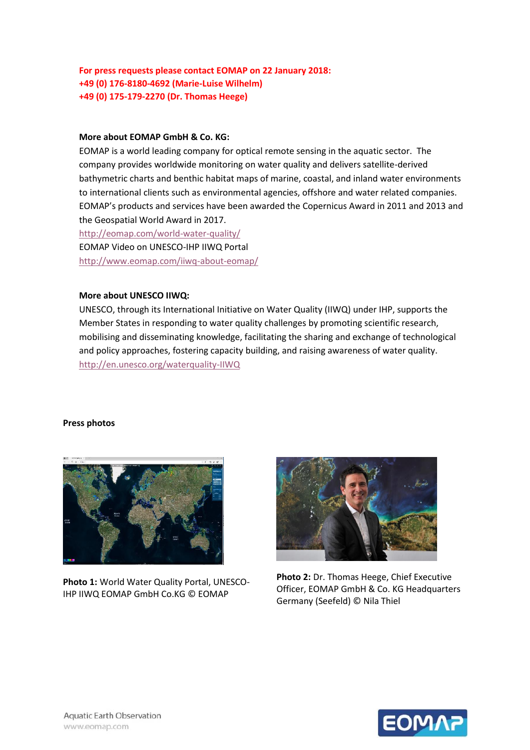## **For press requests please contact EOMAP on 22 January 2018: +49 (0) 176-8180-4692 (Marie-Luise Wilhelm) +49 (0) 175-179-2270 (Dr. Thomas Heege)**

#### **More about EOMAP GmbH & Co. KG:**

EOMAP is a world leading company for optical remote sensing in the aquatic sector. The company provides worldwide monitoring on water quality and delivers satellite-derived bathymetric charts and benthic habitat maps of marine, coastal, and inland water environments to international clients such as environmental agencies, offshore and water related companies. EOMAP's products and services have been awarded the Copernicus Award in 2011 and 2013 and the Geospatial World Award in 2017.

<http://eomap.com/world-water-quality/> EOMAP Video on UNESCO-IHP IIWQ Portal <http://www.eomap.com/iiwq-about-eomap/>

#### **More about UNESCO IIWQ:**

UNESCO, through its International Initiative on Water Quality (IIWQ) under IHP, supports the Member States in responding to water quality challenges by promoting scientific research, mobilising and disseminating knowledge, facilitating the sharing and exchange of technological and policy approaches, fostering capacity building, and raising awareness of water quality. <http://en.unesco.org/waterquality-IIWQ>

#### **Press photos**



**Photo 1:** World Water Quality Portal, UNESCO-IHP IIWQ EOMAP GmbH Co.KG © EOMAP



**Photo 2:** Dr. Thomas Heege, Chief Executive Officer, EOMAP GmbH & Co. KG Headquarters Germany (Seefeld) © Nila Thiel